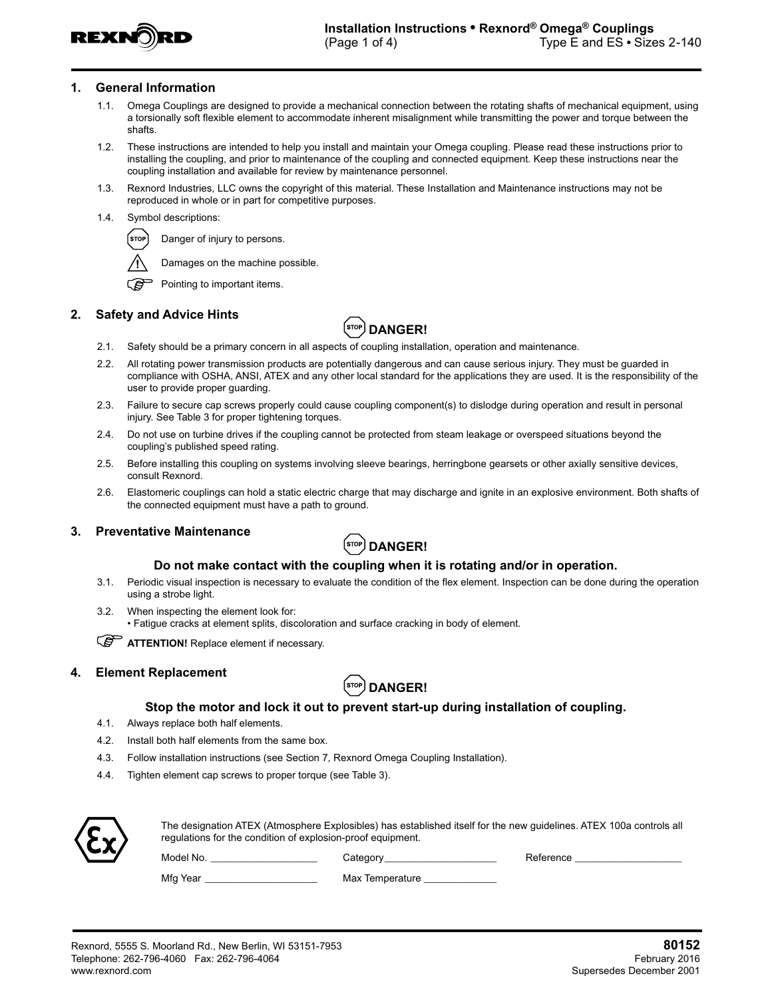

#### **1. General Information**

- 1.1. Omega Couplings are designed to provide a mechanical connection between the rotating shafts of mechanical equipment, using a torsionally soft flexible element to accommodate inherent misalignment while transmitting the power and torque between the shafts.
- 1.2. These instructions are intended to help you install and maintain your Omega coupling. Please read these instructions prior to installing the coupling, and prior to maintenance of the coupling and connected equipment. Keep these instructions near the coupling installation and available for review by maintenance personnel.
- 1.3. Rexnord Industries, LLC owns the copyright of this material. These Installation and Maintenance instructions may not be reproduced in whole or in part for competitive purposes.
- 1.4. Symbol descriptions:



Damages on the machine possible.



## **2. Safety and Advice Hints**



- 2.1. Safety should be a primary concern in all aspects of coupling installation, operation and maintenance.
- 2.2. All rotating power transmission products are potentially dangerous and can cause serious injury. They must be guarded in compliance with OSHA, ANSI, ATEX and any other local standard for the applications they are used. It is the responsibility of the user to provide proper guarding.
- 2.3. Failure to secure cap screws properly could cause coupling component(s) to dislodge during operation and result in personal injury. See Table 3 for proper tightening torques.
- 2.4. Do not use on turbine drives if the coupling cannot be protected from steam leakage or overspeed situations beyond the coupling's published speed rating.
- 2.5. Before installing this coupling on systems involving sleeve bearings, herringbone gearsets or other axially sensitive devices, consult Rexnord.
- 2.6. Elastomeric couplings can hold a static electric charge that may discharge and ignite in an explosive environment. Both shafts of the connected equipment must have a path to ground.

## **3. Preventative Maintenance**



#### **Do not make contact with the coupling when it is rotating and/or in operation.**

- 3.1. Periodic visual inspection is necessary to evaluate the condition of the flex element. Inspection can be done during the operation using a strobe light.
- 3.2. When inspecting the element look for: • Fatigue cracks at element splits, discoloration and surface cracking in body of element.

*<u>CO</u>* ATTENTION! Replace element if necessary.

## **4. Element Replacement**



## **Stop the motor and lock it out to prevent start-up during installation of coupling.**

- 4.1. Always replace both half elements.
- 4.2. Install both half elements from the same box.
- 4.3. Follow installation instructions (see Section 7, Rexnord Omega Coupling Installation).
- 4.4. Tighten element cap screws to proper torque (see Table 3).



The designation ATEX (Atmosphere Explosibles) has established itself for the new guidelines. ATEX 100a controls all regulations for the condition of explosion-proof equipment.

Model No. \_\_\_\_\_\_\_\_\_\_\_\_\_\_\_\_\_\_\_\_\_\_\_\_\_\_\_\_\_\_Category\_\_\_\_\_\_\_\_\_\_\_\_\_\_\_\_\_\_\_\_\_\_\_\_\_\_\_\_\_\_\_\_Reference \_

Mfg Year \_\_\_\_\_\_\_\_\_\_\_\_\_\_\_\_\_\_\_\_ Max Temperature \_\_\_\_\_\_\_\_\_\_\_\_\_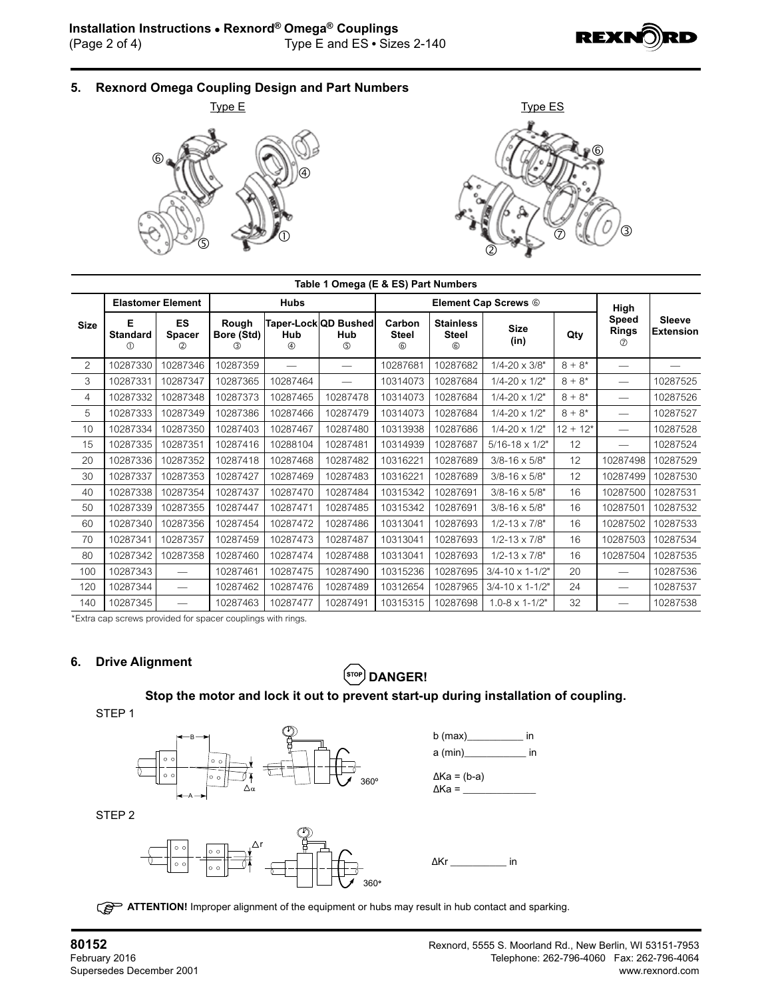

**5. Rexnord Omega Coupling Design and Part Numbers**





| Table 1 Omega (E & ES) Part Numbers |                           |                            |                          |                      |                                            |                             |                                         |                             |            |                                             |                                   |  |  |
|-------------------------------------|---------------------------|----------------------------|--------------------------|----------------------|--------------------------------------------|-----------------------------|-----------------------------------------|-----------------------------|------------|---------------------------------------------|-----------------------------------|--|--|
|                                     | <b>Elastomer Element</b>  |                            |                          | <b>Hubs</b>          |                                            |                             | <b>Element Cap Screws 6</b>             | High                        |            |                                             |                                   |  |  |
| <b>Size</b>                         | Е<br><b>Standard</b><br>⋒ | ES<br><b>Spacer</b><br>(2) | Rough<br>Bore (Std)<br>3 | Hub<br>$\circled{4}$ | Taper-Lock QD Bushed<br>Hub<br>$\circledS$ | Carbon<br><b>Steel</b><br>6 | <b>Stainless</b><br><b>Steel</b><br>$6$ | <b>Size</b><br>(in)         | Qty        | <b>Speed</b><br><b>Rings</b><br>$\circledD$ | <b>Sleeve</b><br><b>Extension</b> |  |  |
| 2                                   | 10287330                  | 10287346                   | 10287359                 |                      |                                            | 10287681                    | 10287682                                | $1/4 - 20 \times 3/8"$      | $8 + 8*$   |                                             |                                   |  |  |
| 3                                   | 10287331                  | 10287347                   | 10287365                 | 10287464             |                                            | 10314073                    | 10287684                                | $1/4 - 20 \times 1/2$ "     | $8 + 8*$   | $\overline{\phantom{0}}$                    | 10287525                          |  |  |
| $\overline{4}$                      | 10287332                  | 10287348                   | 10287373                 | 10287465             | 10287478                                   | 10314073                    | 10287684                                | $1/4 - 20 \times 1/2$ "     | $8 + 8*$   |                                             | 10287526                          |  |  |
| 5                                   | 10287333                  | 10287349                   | 10287386                 | 10287466             | 10287479                                   | 10314073                    | 10287684                                | $1/4 - 20 \times 1/2$ "     | $8 + 8*$   | $\overline{\phantom{0}}$                    | 10287527                          |  |  |
| 10                                  | 10287334                  | 10287350                   | 10287403                 | 10287467             | 10287480                                   | 10313938                    | 10287686                                | $1/4 - 20 \times 1/2$ "     | $12 + 12*$ | $\overline{\phantom{0}}$                    | 10287528                          |  |  |
| 15                                  | 10287335                  | 10287351                   | 10287416                 | 10288104             | 10287481                                   | 10314939                    | 10287687                                | $5/16 - 18 \times 1/2$ "    | 12         | $\overbrace{\phantom{12332}}$               | 10287524                          |  |  |
| 20                                  | 10287336                  | 10287352                   | 10287418                 | 10287468             | 10287482                                   | 10316221                    | 10287689                                | $3/8 - 16 \times 5/8$ "     | 12         | 10287498                                    | 10287529                          |  |  |
| 30                                  | 10287337                  | 10287353                   | 10287427                 | 10287469             | 10287483                                   | 10316221                    | 10287689                                | $3/8 - 16 \times 5/8$ "     | 12         | 10287499                                    | 10287530                          |  |  |
| 40                                  | 10287338                  | 10287354                   | 10287437                 | 10287470             | 10287484                                   | 10315342                    | 10287691                                | $3/8 - 16 \times 5/8$ "     | 16         | 10287500                                    | 10287531                          |  |  |
| 50                                  | 10287339                  | 10287355                   | 10287447                 | 10287471             | 10287485                                   | 10315342                    | 10287691                                | $3/8 - 16 \times 5/8$ "     | 16         | 10287501                                    | 10287532                          |  |  |
| 60                                  | 10287340                  | 10287356                   | 10287454                 | 10287472             | 10287486                                   | 10313041                    | 10287693                                | $1/2 - 13 \times 7/8$ "     | 16         | 10287502                                    | 10287533                          |  |  |
| 70                                  | 10287341                  | 10287357                   | 10287459                 | 10287473             | 10287487                                   | 10313041                    | 10287693                                | $1/2 - 13 \times 7/8$ "     | 16         | 10287503                                    | 10287534                          |  |  |
| 80                                  | 10287342                  | 10287358                   | 10287460                 | 10287474             | 10287488                                   | 10313041                    | 10287693                                | $1/2 - 13 \times 7/8$ "     | 16         | 10287504                                    | 10287535                          |  |  |
| 100                                 | 10287343                  |                            | 10287461                 | 10287475             | 10287490                                   | 10315236                    | 10287695                                | $3/4 - 10 \times 1 - 1/2$ " | 20         | $\overline{\phantom{0}}$                    | 10287536                          |  |  |
| 120                                 | 10287344                  | $\overline{\phantom{0}}$   | 10287462                 | 10287476             | 10287489                                   | 10312654                    | 10287965                                | $3/4 - 10 \times 1 - 1/2$ " | 24         |                                             | 10287537                          |  |  |
| 140                                 | 10287345                  | $\overline{\phantom{0}}$   | 10287463                 | 10287477             | 10287491                                   | 10315315                    | 10287698                                | $1.0 - 8 \times 1 - 1/2$ "  | 32         | $\overline{\phantom{0}}$                    | 10287538                          |  |  |

\*Extra cap screws provided for spacer couplings with rings.

# **6. Drive Alignment**

# $\left($ STOP) DANGER!

# **Stop the motor and lock it out to prevent start-up during installation of coupling.**

STEP 1



**ATTENTION!** Improper alignment of the equipment or hubs may result in hub contact and sparking.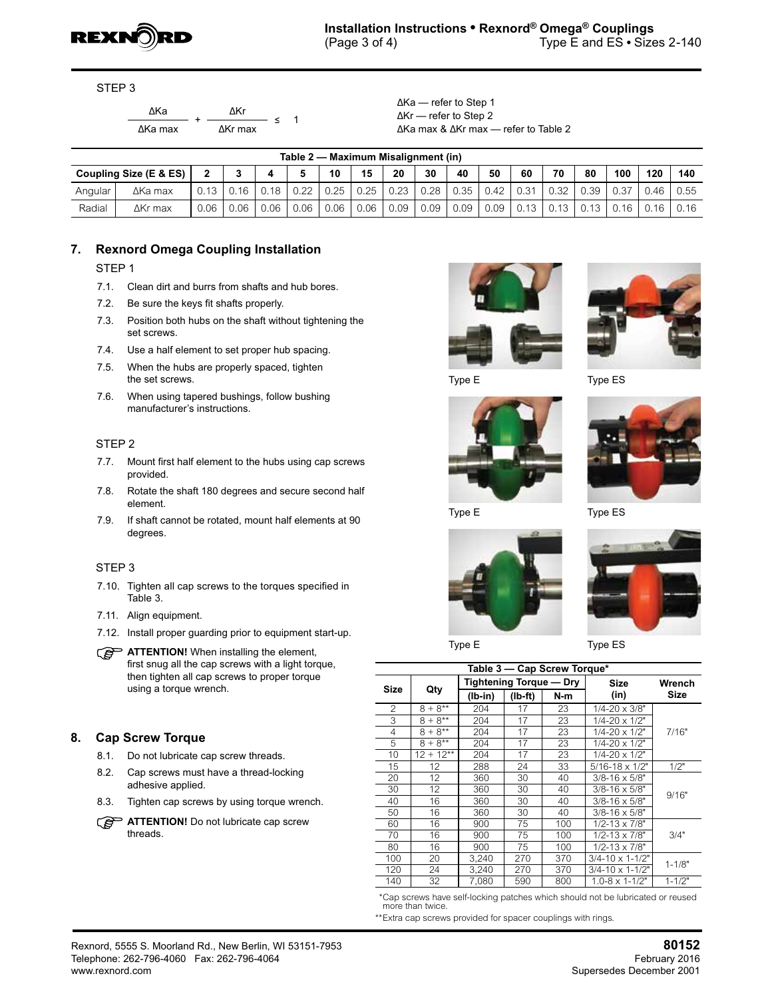

STEP 3

 $\frac{\Delta Ka}{\Delta a \text{ max}}$  +  $\frac{\Delta Kr}{\Delta Kr \text{ max}}$ ∆Ka max

≤ 1

∆Ka — refer to Step 1 ∆Kr — refer to Step 2 ∆Ka max & ∆Kr max — refer to Table 2

|                        | Table 2 — Maximum Misalignment (in) |          |      |      |      |      |      |      |      |      |      |      |      |      |      |      |      |
|------------------------|-------------------------------------|----------|------|------|------|------|------|------|------|------|------|------|------|------|------|------|------|
| Coupling Size (E & ES) |                                     |          | ◠    |      |      | 10   | 15   | 20   | 30   | 40   | 50   | 60   | 70   | 80   | 100  | 120  | 140  |
| Angular                | $\Delta$ Ka max                     | $0.13 -$ | 0.16 | 0.18 | 0.22 | 0.25 | 0.25 | 0.23 | 0.28 | 0.35 | 0.42 | 0.31 | 0.32 | J.39 | 0.37 | 0.46 | 0.55 |
| Radial                 | $\Delta$ Kr max                     | .06      | 06.ر | 0.06 | 0.06 | 0.06 | 0.06 | 0.09 | 0.09 | 0.09 | 0.09 | 0.13 | 0.13 | 0.13 | 0.16 | 0.16 | 0.16 |

# **7. Rexnord Omega Coupling Installation**

## STEP 1

- 7.1. Clean dirt and burrs from shafts and hub bores.
- 7.2. Be sure the keys fit shafts properly.
- 7.3. Position both hubs on the shaft without tightening the set screws.
- 7.4. Use a half element to set proper hub spacing.
- 7.5. When the hubs are properly spaced, tighten the set screws.
- 7.6. When using tapered bushings, follow bushing manufacturer's instructions.

## STEP 2

- 7.7. Mount first half element to the hubs using cap screws provided.
- 7.8. Rotate the shaft 180 degrees and secure second half element.
- 7.9. If shaft cannot be rotated, mount half elements at 90 degrees.

## STEP 3

- 7.10. Tighten all cap screws to the torques specified in Table 3.
- 7.11. Align equipment.
- 7.12. Install proper guarding prior to equipment start-up.

**ATTENTION!** When installing the element, first snug all the cap screws with a light torque, then tighten all cap screws to proper torque using a torque wrench.

# **8. Cap Screw Torque**

- 8.1. Do not lubricate cap screw threads.
- 8.2. Cap screws must have a thread-locking adhesive applied.
- 8.3. Tighten cap screws by using torque wrench.







Type E Type ES





Type E Type ES



| Table 3 - Cap Screw Torque* |              |           |           |                         |                             |             |  |  |  |  |  |
|-----------------------------|--------------|-----------|-----------|-------------------------|-----------------------------|-------------|--|--|--|--|--|
| <b>Size</b>                 |              |           |           | Tightening Torque - Dry | <b>Size</b>                 | Wrench      |  |  |  |  |  |
|                             | Qty          | $(Ib-in)$ | $(Ib-ft)$ | N-m                     | (in)                        | <b>Size</b> |  |  |  |  |  |
| $\overline{2}$              | $8 + 8^{**}$ | 204       | 17        | 23                      | $1/4 - 20 \times 3/8"$      |             |  |  |  |  |  |
| 3                           | $8 + 8^{**}$ | 204       | 17        | 23                      | $1/4 - 20 \times 1/2"$      |             |  |  |  |  |  |
| 4                           | $8 + 8^{**}$ | 204       | 17        | 23                      | $1/4 - 20 \times 1/2$ "     | 7/16"       |  |  |  |  |  |
| 5                           | $8 + 8^{**}$ | 204       | 17        | 23                      | $1/4 - 20 \times 1/2$ "     |             |  |  |  |  |  |
| 10                          | $12 + 12**$  | 204       | 17        | 23                      | $1/4 - 20 \times 1/2$ "     |             |  |  |  |  |  |
| 15                          | 12           | 288       | 24        | 33                      | $5/16 - 18 \times 1/2$ "    | 1/2"        |  |  |  |  |  |
| 20                          | 12           | 360       | 30        | 40                      | $3/8 - 16 \times 5/8"$      |             |  |  |  |  |  |
| 30                          | 12           | 360       | 30        | 40                      | $3/8 - 16 \times 5/8"$      | 9/16"       |  |  |  |  |  |
| 40                          | 16           | 360       | 30        | 40                      | $3/8 - 16 \times 5/8"$      |             |  |  |  |  |  |
| 50                          | 16           | 360       | 30        | 40                      | $3/8 - 16 \times 5/8"$      |             |  |  |  |  |  |
| 60                          | 16           | 900       | 75        | 100                     | $1/2 - 13 \times 7/8$ "     |             |  |  |  |  |  |
| 70                          | 16           | 900       | 75        | 100                     | $1/2 - 13 \times 7/8$ "     | 3/4"        |  |  |  |  |  |
| 80                          | 16           | 900       | 75        | 100                     | $1/2 - 13 \times 7/8"$      |             |  |  |  |  |  |
| 100                         | 20           | 3.240     | 270       | 370                     | $3/4 - 10 \times 1 - 1/2$ " | $1 - 1/8"$  |  |  |  |  |  |
| 120                         | 24<br>3,240  |           | 270       | 370                     | $3/4 - 10 \times 1 - 1/2$ " |             |  |  |  |  |  |
| 140                         | 32           | 7.080     | 590       | 800                     | $1.0 - 8 \times 1 - 1/2$ "  | $1 - 1/2"$  |  |  |  |  |  |

 \*Cap screws have self-locking patches which should not be lubricated or reused more than twice.

\*\*Extra cap screws provided for spacer couplings with rings.